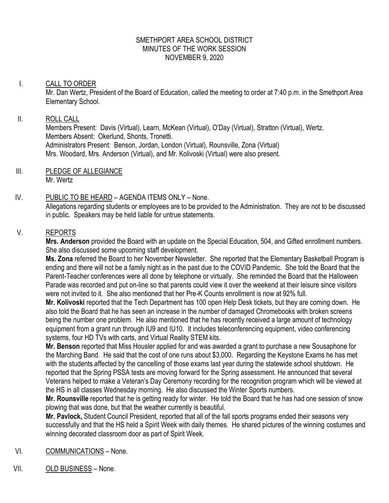#### SMETHPORT AREA SCHOOL DISTRICT MINUTES OF THE WORK SESSION NOVEMBER 9, 2020

## I. CALL TO ORDER

Mr. Dan Wertz, President of the Board of Education, called the meeting to order at 7:40 p.m. in the Smethport Area Elementary School.

## II. ROLL CALL

Members Present: Davis (Virtual), Learn, McKean (Virtual), O'Day (Virtual), Stratton (Virtual), Wertz. Members Absent: Okerlund, Shonts, Tronetti. Administrators Present: Benson, Jordan, London (Virtual), Rounsville, Zona (Virtual) Mrs. Woodard, Mrs. Anderson (Virtual), and Mr. Kolivoski (Virtual) were also present.

III. PLEDGE OF ALLEGIANCE Mr. Wertz

# IV. PUBLIC TO BE HEARD – AGENDA ITEMS ONLY – None.

Allegations regarding students or employees are to be provided to the Administration. They are not to be discussed in public. Speakers may be held liable for untrue statements.

## V. REPORTS

**Mrs. Anderson** provided the Board with an update on the Special Education, 504, and Gifted enrollment numbers. She also discussed some upcoming staff development.

**Ms. Zona** referred the Board to her November Newsletter. She reported that the Elementary Basketball Program is ending and there will not be a family night as in the past due to the COVID Pandemic. She told the Board that the Parent-Teacher conferences were all done by telephone or virtually. She reminded the Board that the Halloween Parade was recorded and put on-line so that parents could view it over the weekend at their leisure since visitors were not invited to it. She also mentioned that her Pre-K Counts enrollment is now at 92% full.

**Mr. Kolivoski** reported that the Tech Department has 100 open Help Desk tickets, but they are coming down. He also told the Board that he has seen an increase in the number of damaged Chromebooks with broken screens being the number one problem. He also mentioned that he has recently received a large amount of technology equipment from a grant run through IU9 and IU10. It includes teleconferencing equipment, video conferencing systems, four HD TVs with carts, and Virtual Reality STEM kits.

**Mr. Benson** reported that Miss Housler applied for and was awarded a grant to purchase a new Sousaphone for the Marching Band. He said that the cost of one runs about \$3,000. Regarding the Keystone Exams he has met with the students affected by the cancelling of those exams last year during the statewide school shutdown. He reported that the Spring PSSA tests are moving forward for the Spring assessment. He announced that several Veterans helped to make a Veteran's Day Ceremony recording for the recognition program which will be viewed at the HS in all classes Wednesday morning. He also discussed the Winter Sports numbers.

**Mr. Rounsville** reported that he is getting ready for winter. He told the Board that he has had one session of snow plowing that was done, but that the weather currently is beautiful.

**Mr. Pavlock,** Student Council President, reported that all of the fall sports programs ended their seasons very successfully and that the HS held a Spirit Week with daily themes. He shared pictures of the winning costumes and winning decorated classroom door as part of Spirit Week.

- VI. COMMUNICATIONS None.
- VII. OLD BUSINESS None.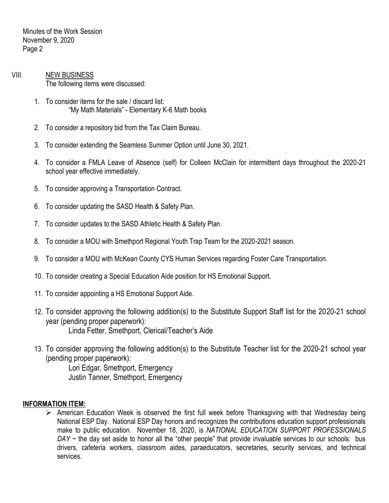Minutes of the Work Session November 9, 2020 Page 2

- VIII. NEW BUSINESS The following items were discussed:
	- 1. To consider items for the sale / discard list: "My Math Materials" - Elementary K-6 Math books
	- 2. To consider a repository bid from the Tax Claim Bureau.
	- 3. To consider extending the Seamless Summer Option until June 30, 2021.
	- 4. To consider a FMLA Leave of Absence (self) for Colleen McClain for intermittent days throughout the 2020-21 school year effective immediately.
	- 5. To consider approving a Transportation Contract.
	- 6. To consider updating the SASD Health & Safety Plan.
	- 7. To consider updates to the SASD Athletic Health & Safety Plan.
	- 8. To consider a MOU with Smethport Regional Youth Trap Team for the 2020-2021 season.
	- 9. To consider a MOU with McKean County CYS Human Services regarding Foster Care Transportation.
	- 10. To consider creating a Special Education Aide position for HS Emotional Support.
	- 11. To consider appointing a HS Emotional Support Aide.
	- 12. To consider approving the following addition(s) to the Substitute Support Staff list for the 2020-21 school year (pending proper paperwork): Linda Fetter, Smethport, Clerical/Teacher's Aide
	- 13. To consider approving the following addition(s) to the Substitute Teacher list for the 2020-21 school year (pending proper paperwork):

Lori Edgar, Smethport, Emergency Justin Tanner, Smethport, Emergency

### **INFORMATION ITEM:**

 American Education Week is observed the first full week before Thanksgiving with that Wednesday being National ESP Day. National ESP Day honors and recognizes the contributions education support professionals make to public education. November 18, 2020, is *NATIONAL EDUCATION SUPPORT PROFESSIONALS DAY* ~ the day set aside to honor all the "other people" that provide invaluable services to our schools: bus drivers, cafeteria workers, classroom aides, paraeducators, secretaries, security services, and technical services.